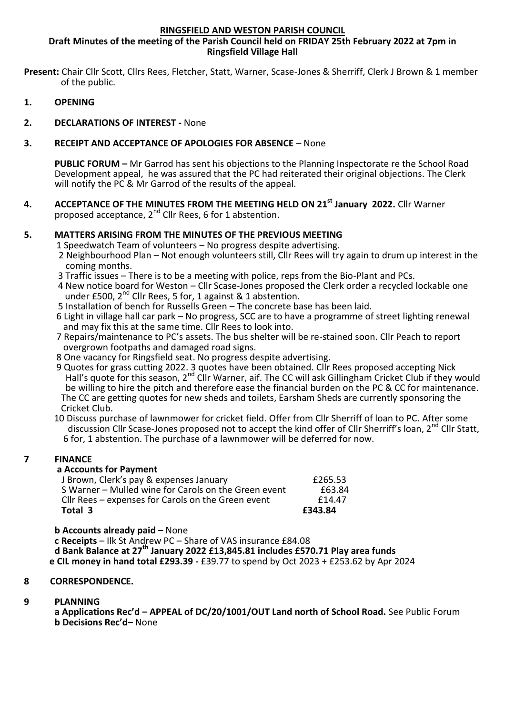#### **RINGSFIELD AND WESTON PARISH COUNCIL**

**Draft Minutes of the meeting of the Parish Council held on FRIDAY 25th February 2022 at 7pm in Ringsfield Village Hall**

**Present:** Chair Cllr Scott, Cllrs Rees, Fletcher, Statt, Warner, Scase-Jones & Sherriff, Clerk J Brown & 1 member of the public.

- **1. OPENING**
- **2. DECLARATIONS OF INTEREST -** None

## **3. RECEIPT AND ACCEPTANCE OF APOLOGIES FOR ABSENCE** – None

**PUBLIC FORUM –** Mr Garrod has sent his objections to the Planning Inspectorate re the School Road Development appeal, he was assured that the PC had reiterated their original objections. The Clerk will notify the PC & Mr Garrod of the results of the appeal.

**4. ACCEPTANCE OF THE MINUTES FROM THE MEETING HELD ON 21st January 2022.** Cllr Warner proposed acceptance,  $2^{nd}$  Cllr Rees, 6 for 1 abstention.

## **5. MATTERS ARISING FROM THE MINUTES OF THE PREVIOUS MEETING**

- 1 Speedwatch Team of volunteers No progress despite advertising.
- 2 Neighbourhood Plan Not enough volunteers still, Cllr Rees will try again to drum up interest in the coming months.
- 3 Traffic issues There is to be a meeting with police, reps from the Bio-Plant and PCs.
- 4 New notice board for Weston Cllr Scase-Jones proposed the Clerk order a recycled lockable one under £500, 2<sup>nd</sup> Cllr Rees, 5 for, 1 against & 1 abstention.
- 5 Installation of bench for Russells Green The concrete base has been laid.
- 6 Light in village hall car park No progress, SCC are to have a programme of street lighting renewal and may fix this at the same time. Cllr Rees to look into.
- 7 Repairs/maintenance to PC's assets. The bus shelter will be re-stained soon. Cllr Peach to report overgrown footpaths and damaged road signs.
- 8 One vacancy for Ringsfield seat. No progress despite advertising.
- 9 Quotes for grass cutting 2022. 3 quotes have been obtained. Cllr Rees proposed accepting Nick Hall's quote for this season, 2<sup>nd</sup> Cllr Warner, aif. The CC will ask Gillingham Cricket Club if they would be willing to hire the pitch and therefore ease the financial burden on the PC & CC for maintenance. The CC are getting quotes for new sheds and toilets, Earsham Sheds are currently sponsoring the Cricket Club.
	- 10 Discuss purchase of lawnmower for cricket field. Offer from Cllr Sherriff of loan to PC. After some discussion Cllr Scase-Jones proposed not to accept the kind offer of Cllr Sherriff's loan, 2<sup>nd</sup> Cllr Statt, 6 for, 1 abstention. The purchase of a lawnmower will be deferred for now.

#### **7 FINANCE**

# **a Accounts for Payment**

| S Warner - Mulled wine for Carols on the Green event<br>Cllr Rees – expenses for Carols on the Green event |         |
|------------------------------------------------------------------------------------------------------------|---------|
|                                                                                                            | f14.47  |
|                                                                                                            | £63.84  |
| J Brown, Clerk's pay & expenses January                                                                    | £265.53 |

**b Accounts already paid –** None

**c Receipts** – Ilk St Andrew PC – Share of VAS insurance £84.08 **d Bank Balance at 27th January 2022 £13,845.81 includes £570.71 Play area funds e CIL money in hand total £293.39 -** £39.77 to spend by Oct 2023 + £253.62 by Apr 2024

#### **8 CORRESPONDENCE.**

#### **9 PLANNING**

**a Applications Rec'd – APPEAL of DC/20/1001/OUT Land north of School Road.** See Public Forum **b Decisions Rec'd–** None